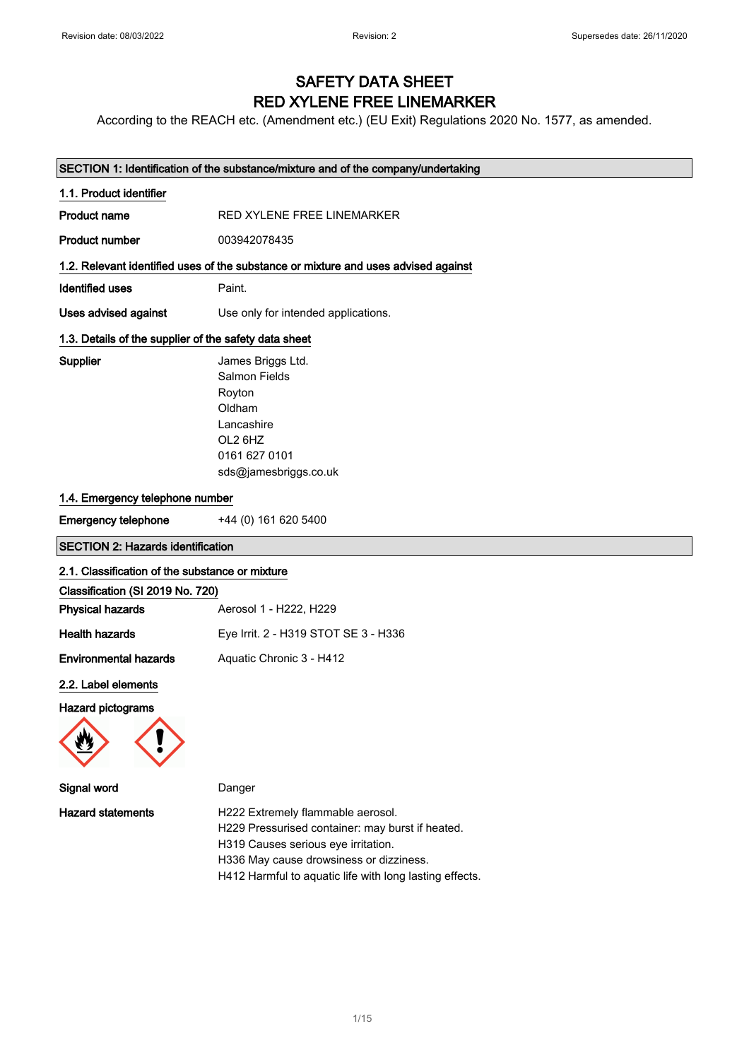## SAFETY DATA SHEET RED XYLENE FREE LINEMARKER

According to the REACH etc. (Amendment etc.) (EU Exit) Regulations 2020 No. 1577, as amended.

| SECTION 1: Identification of the substance/mixture and of the company/undertaking |                                                                                                                           |  |
|-----------------------------------------------------------------------------------|---------------------------------------------------------------------------------------------------------------------------|--|
| 1.1. Product identifier                                                           |                                                                                                                           |  |
| <b>Product name</b>                                                               | RED XYLENE FREE LINEMARKER                                                                                                |  |
| <b>Product number</b>                                                             | 003942078435                                                                                                              |  |
|                                                                                   | 1.2. Relevant identified uses of the substance or mixture and uses advised against                                        |  |
| <b>Identified uses</b>                                                            | Paint.                                                                                                                    |  |
| Uses advised against                                                              | Use only for intended applications.                                                                                       |  |
| 1.3. Details of the supplier of the safety data sheet                             |                                                                                                                           |  |
| Supplier                                                                          | James Briggs Ltd.<br>Salmon Fields<br>Royton<br>Oldham<br>Lancashire<br>OL2 6HZ<br>0161 627 0101<br>sds@jamesbriggs.co.uk |  |
| 1.4. Emergency telephone number                                                   |                                                                                                                           |  |
| <b>Emergency telephone</b>                                                        | +44 (0) 161 620 5400                                                                                                      |  |
|                                                                                   |                                                                                                                           |  |
| <b>SECTION 2: Hazards identification</b>                                          |                                                                                                                           |  |
| 2.1. Classification of the substance or mixture                                   |                                                                                                                           |  |
| Classification (SI 2019 No. 720)                                                  |                                                                                                                           |  |
| <b>Physical hazards</b>                                                           | Aerosol 1 - H222, H229                                                                                                    |  |
| <b>Health hazards</b>                                                             | Eye Irrit. 2 - H319 STOT SE 3 - H336                                                                                      |  |
| <b>Environmental hazards</b>                                                      | Aquatic Chronic 3 - H412                                                                                                  |  |
| 2.2. Label elements<br>Hazard pictograms                                          |                                                                                                                           |  |
| Signal word                                                                       | Danger                                                                                                                    |  |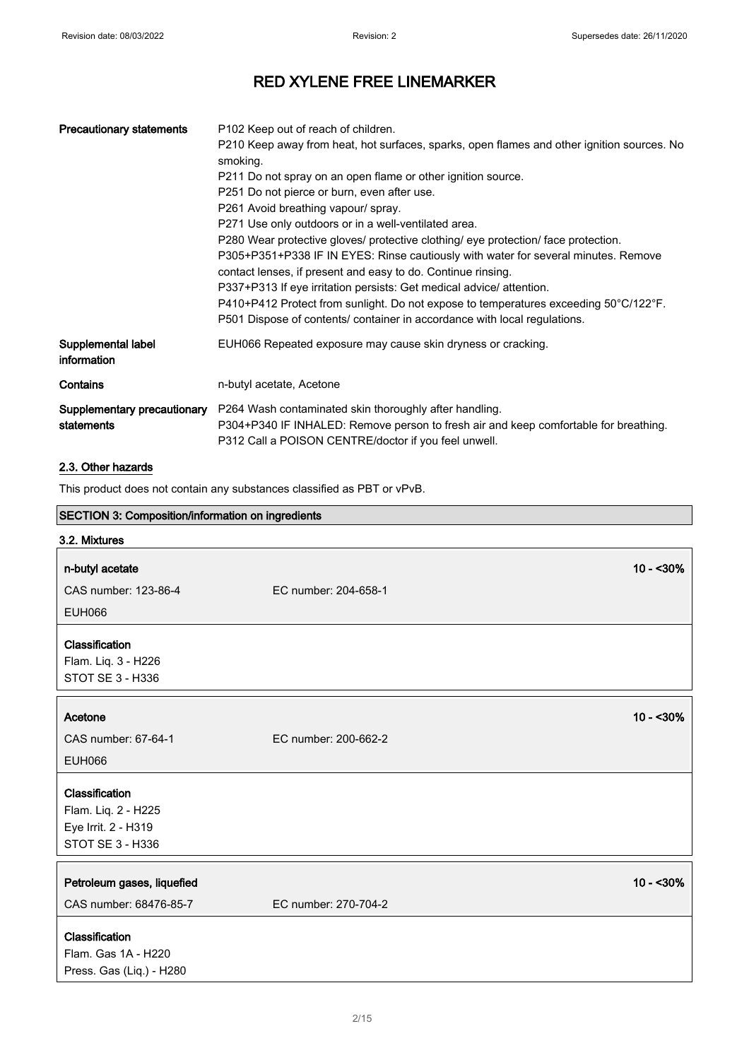| <b>Precautionary statements</b>           | P <sub>102</sub> Keep out of reach of children.<br>P210 Keep away from heat, hot surfaces, sparks, open flames and other ignition sources. No<br>smoking.<br>P211 Do not spray on an open flame or other ignition source.<br>P251 Do not pierce or burn, even after use.<br>P261 Avoid breathing vapour/ spray.<br>P271 Use only outdoors or in a well-ventilated area.<br>P280 Wear protective gloves/ protective clothing/ eye protection/ face protection.<br>P305+P351+P338 IF IN EYES: Rinse cautiously with water for several minutes. Remove<br>contact lenses, if present and easy to do. Continue rinsing.<br>P337+P313 If eye irritation persists: Get medical advice/ attention.<br>P410+P412 Protect from sunlight. Do not expose to temperatures exceeding 50°C/122°F.<br>P501 Dispose of contents/ container in accordance with local regulations. |
|-------------------------------------------|------------------------------------------------------------------------------------------------------------------------------------------------------------------------------------------------------------------------------------------------------------------------------------------------------------------------------------------------------------------------------------------------------------------------------------------------------------------------------------------------------------------------------------------------------------------------------------------------------------------------------------------------------------------------------------------------------------------------------------------------------------------------------------------------------------------------------------------------------------------|
| Supplemental label<br>information         | EUH066 Repeated exposure may cause skin dryness or cracking.                                                                                                                                                                                                                                                                                                                                                                                                                                                                                                                                                                                                                                                                                                                                                                                                     |
| Contains                                  | n-butyl acetate, Acetone                                                                                                                                                                                                                                                                                                                                                                                                                                                                                                                                                                                                                                                                                                                                                                                                                                         |
| Supplementary precautionary<br>statements | P264 Wash contaminated skin thoroughly after handling.<br>P304+P340 IF INHALED: Remove person to fresh air and keep comfortable for breathing.<br>P312 Call a POISON CENTRE/doctor if you feel unwell.                                                                                                                                                                                                                                                                                                                                                                                                                                                                                                                                                                                                                                                           |

### 2.3. Other hazards

**r** 

This product does not contain any substances classified as PBT or vPvB.

| SECTION 3: Composition/information on ingredients                                           |                      |            |
|---------------------------------------------------------------------------------------------|----------------------|------------|
| 3.2. Mixtures                                                                               |                      |            |
| n-butyl acetate                                                                             |                      | $10 - 30%$ |
| CAS number: 123-86-4                                                                        | EC number: 204-658-1 |            |
| <b>EUH066</b>                                                                               |                      |            |
| Classification<br>Flam. Liq. 3 - H226<br>STOT SE 3 - H336                                   |                      |            |
| Acetone                                                                                     |                      | $10 - 30%$ |
| CAS number: 67-64-1                                                                         | EC number: 200-662-2 |            |
| <b>EUH066</b>                                                                               |                      |            |
| Classification<br>Flam. Liq. 2 - H225<br>Eye Irrit. 2 - H319<br>STOT SE 3 - H336            |                      |            |
| Petroleum gases, liquefied                                                                  |                      | $10 - 30%$ |
| CAS number: 68476-85-7<br>Classification<br>Flam. Gas 1A - H220<br>Press. Gas (Liq.) - H280 | EC number: 270-704-2 |            |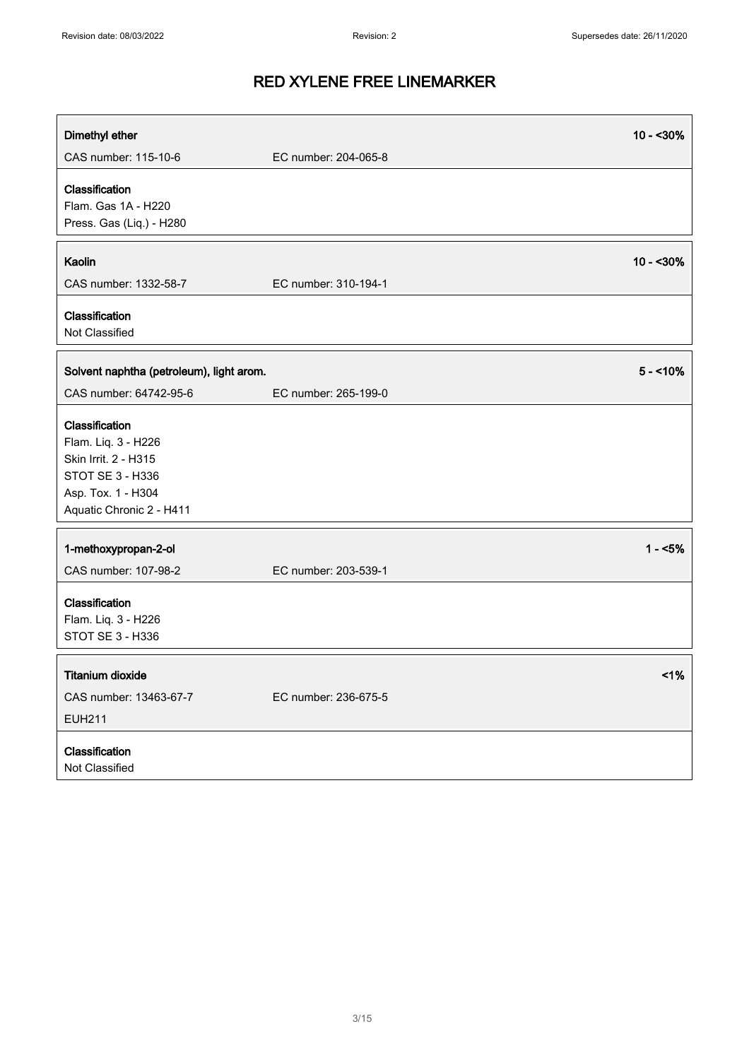| Dimethyl ether                                                                                                                      |                      | $10 - 30%$ |
|-------------------------------------------------------------------------------------------------------------------------------------|----------------------|------------|
| CAS number: 115-10-6                                                                                                                | EC number: 204-065-8 |            |
| Classification<br>Flam. Gas 1A - H220<br>Press. Gas (Liq.) - H280                                                                   |                      |            |
| Kaolin<br>CAS number: 1332-58-7                                                                                                     | EC number: 310-194-1 | $10 - 30%$ |
| Classification<br>Not Classified                                                                                                    |                      |            |
| Solvent naphtha (petroleum), light arom.                                                                                            |                      | $5 - 10\%$ |
| CAS number: 64742-95-6                                                                                                              | EC number: 265-199-0 |            |
| Classification<br>Flam. Liq. 3 - H226<br>Skin Irrit. 2 - H315<br>STOT SE 3 - H336<br>Asp. Tox. 1 - H304<br>Aquatic Chronic 2 - H411 |                      |            |
| 1-methoxypropan-2-ol                                                                                                                |                      | $1 - 5%$   |
| CAS number: 107-98-2                                                                                                                | EC number: 203-539-1 |            |
| Classification<br>Flam. Liq. 3 - H226<br>STOT SE 3 - H336                                                                           |                      |            |
| <b>Titanium dioxide</b>                                                                                                             |                      | 1%         |
| CAS number: 13463-67-7<br><b>EUH211</b>                                                                                             | EC number: 236-675-5 |            |
| Classification<br>Not Classified                                                                                                    |                      |            |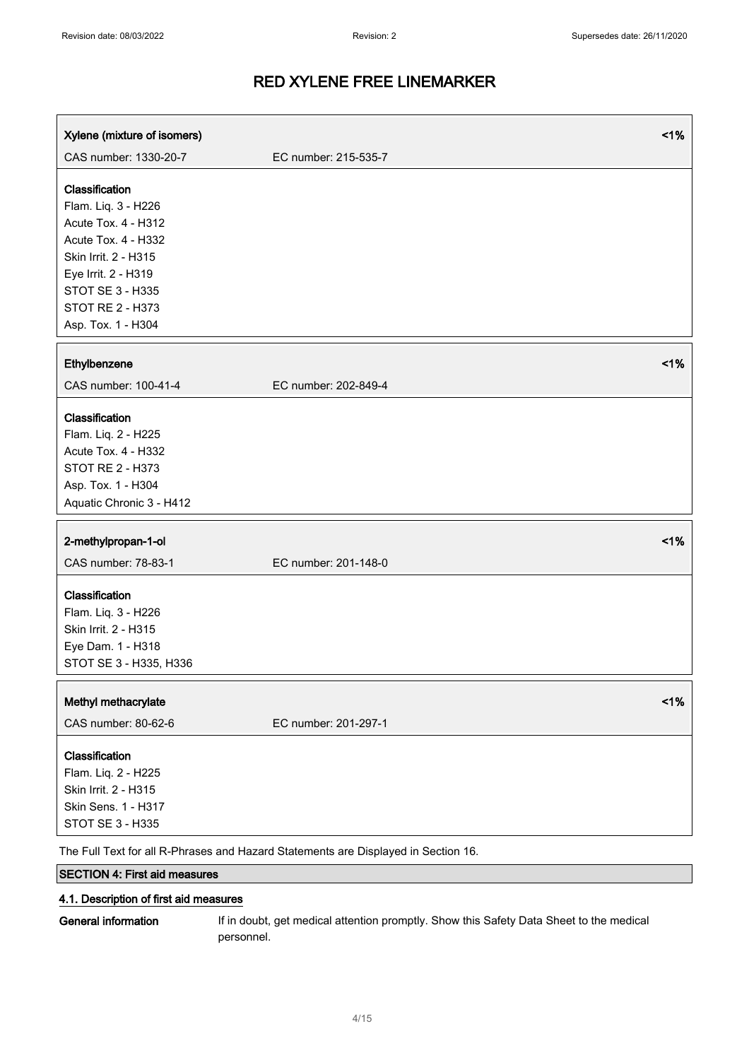| Xylene (mixture of isomers)                                                                                                                                                                             |                      | 1% |
|---------------------------------------------------------------------------------------------------------------------------------------------------------------------------------------------------------|----------------------|----|
| CAS number: 1330-20-7                                                                                                                                                                                   | EC number: 215-535-7 |    |
| Classification<br>Flam. Liq. 3 - H226<br>Acute Tox. 4 - H312<br>Acute Tox. 4 - H332<br>Skin Irrit. 2 - H315<br>Eye Irrit. 2 - H319<br><b>STOT SE 3 - H335</b><br>STOT RE 2 - H373<br>Asp. Tox. 1 - H304 |                      |    |
| Ethylbenzene                                                                                                                                                                                            |                      | 1% |
| CAS number: 100-41-4                                                                                                                                                                                    | EC number: 202-849-4 |    |
| Classification<br>Flam. Liq. 2 - H225<br>Acute Tox. 4 - H332<br><b>STOT RE 2 - H373</b><br>Asp. Tox. 1 - H304<br>Aquatic Chronic 3 - H412                                                               |                      |    |
| 2-methylpropan-1-ol<br>CAS number: 78-83-1                                                                                                                                                              | EC number: 201-148-0 | 1% |
| Classification<br>Flam. Liq. 3 - H226<br>Skin Irrit. 2 - H315<br>Eye Dam. 1 - H318<br>STOT SE 3 - H335, H336                                                                                            |                      |    |
| Methyl methacrylate<br>CAS number: 80-62-6                                                                                                                                                              | EC number: 201-297-1 | 1% |
| Classification<br>Flam. Liq. 2 - H225<br>Skin Irrit. 2 - H315<br>Skin Sens. 1 - H317<br>STOT SE 3 - H335                                                                                                |                      |    |

The Full Text for all R-Phrases and Hazard Statements are Displayed in Section 16.

### SECTION 4: First aid measures

#### 4.1. Description of first aid measures

General information If in doubt, get medical attention promptly. Show this Safety Data Sheet to the medical personnel.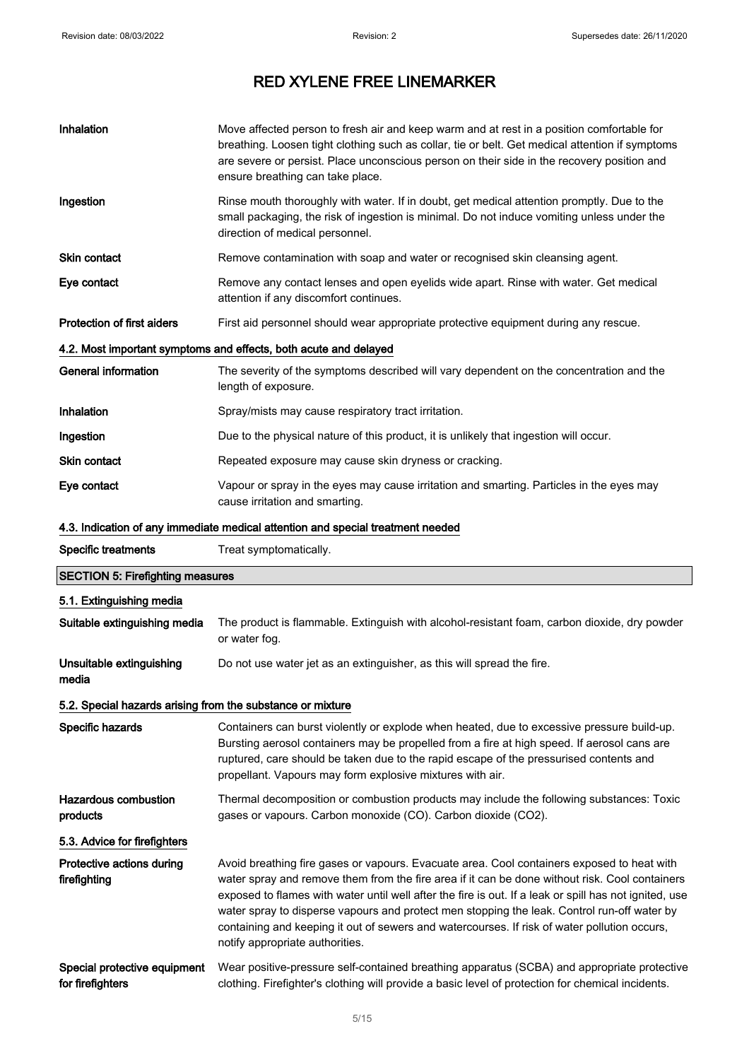| Inhalation                                                 | Move affected person to fresh air and keep warm and at rest in a position comfortable for<br>breathing. Loosen tight clothing such as collar, tie or belt. Get medical attention if symptoms<br>are severe or persist. Place unconscious person on their side in the recovery position and<br>ensure breathing can take place.                                                                                                                                                                                                           |
|------------------------------------------------------------|------------------------------------------------------------------------------------------------------------------------------------------------------------------------------------------------------------------------------------------------------------------------------------------------------------------------------------------------------------------------------------------------------------------------------------------------------------------------------------------------------------------------------------------|
| Ingestion                                                  | Rinse mouth thoroughly with water. If in doubt, get medical attention promptly. Due to the<br>small packaging, the risk of ingestion is minimal. Do not induce vomiting unless under the<br>direction of medical personnel.                                                                                                                                                                                                                                                                                                              |
| <b>Skin contact</b>                                        | Remove contamination with soap and water or recognised skin cleansing agent.                                                                                                                                                                                                                                                                                                                                                                                                                                                             |
| Eye contact                                                | Remove any contact lenses and open eyelids wide apart. Rinse with water. Get medical<br>attention if any discomfort continues.                                                                                                                                                                                                                                                                                                                                                                                                           |
| <b>Protection of first aiders</b>                          | First aid personnel should wear appropriate protective equipment during any rescue.                                                                                                                                                                                                                                                                                                                                                                                                                                                      |
|                                                            | 4.2. Most important symptoms and effects, both acute and delayed                                                                                                                                                                                                                                                                                                                                                                                                                                                                         |
| <b>General information</b>                                 | The severity of the symptoms described will vary dependent on the concentration and the<br>length of exposure.                                                                                                                                                                                                                                                                                                                                                                                                                           |
| Inhalation                                                 | Spray/mists may cause respiratory tract irritation.                                                                                                                                                                                                                                                                                                                                                                                                                                                                                      |
| Ingestion                                                  | Due to the physical nature of this product, it is unlikely that ingestion will occur.                                                                                                                                                                                                                                                                                                                                                                                                                                                    |
| Skin contact                                               | Repeated exposure may cause skin dryness or cracking.                                                                                                                                                                                                                                                                                                                                                                                                                                                                                    |
| Eye contact                                                | Vapour or spray in the eyes may cause irritation and smarting. Particles in the eyes may<br>cause irritation and smarting.                                                                                                                                                                                                                                                                                                                                                                                                               |
|                                                            | 4.3. Indication of any immediate medical attention and special treatment needed                                                                                                                                                                                                                                                                                                                                                                                                                                                          |
| <b>Specific treatments</b>                                 | Treat symptomatically.                                                                                                                                                                                                                                                                                                                                                                                                                                                                                                                   |
| <b>SECTION 5: Firefighting measures</b>                    |                                                                                                                                                                                                                                                                                                                                                                                                                                                                                                                                          |
| 5.1. Extinguishing media                                   |                                                                                                                                                                                                                                                                                                                                                                                                                                                                                                                                          |
| Suitable extinguishing media                               | The product is flammable. Extinguish with alcohol-resistant foam, carbon dioxide, dry powder<br>or water fog.                                                                                                                                                                                                                                                                                                                                                                                                                            |
| Unsuitable extinguishing                                   |                                                                                                                                                                                                                                                                                                                                                                                                                                                                                                                                          |
| media                                                      | Do not use water jet as an extinguisher, as this will spread the fire.                                                                                                                                                                                                                                                                                                                                                                                                                                                                   |
| 5.2. Special hazards arising from the substance or mixture |                                                                                                                                                                                                                                                                                                                                                                                                                                                                                                                                          |
| Specific hazards                                           | Containers can burst violently or explode when heated, due to excessive pressure build-up.<br>Bursting aerosol containers may be propelled from a fire at high speed. If aerosol cans are<br>ruptured, care should be taken due to the rapid escape of the pressurised contents and<br>propellant. Vapours may form explosive mixtures with air.                                                                                                                                                                                         |
| <b>Hazardous combustion</b><br>products                    | Thermal decomposition or combustion products may include the following substances: Toxic<br>gases or vapours. Carbon monoxide (CO). Carbon dioxide (CO2).                                                                                                                                                                                                                                                                                                                                                                                |
| 5.3. Advice for firefighters                               |                                                                                                                                                                                                                                                                                                                                                                                                                                                                                                                                          |
| Protective actions during<br>firefighting                  | Avoid breathing fire gases or vapours. Evacuate area. Cool containers exposed to heat with<br>water spray and remove them from the fire area if it can be done without risk. Cool containers<br>exposed to flames with water until well after the fire is out. If a leak or spill has not ignited, use<br>water spray to disperse vapours and protect men stopping the leak. Control run-off water by<br>containing and keeping it out of sewers and watercourses. If risk of water pollution occurs,<br>notify appropriate authorities. |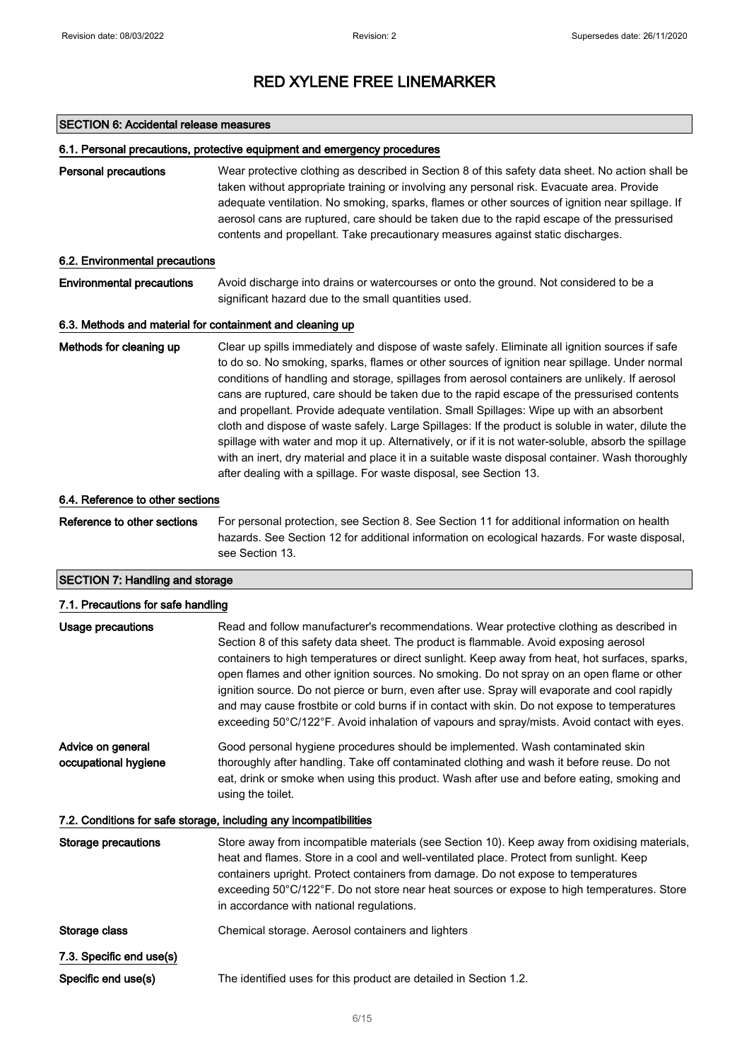#### SECTION 6: Accidental release measures

#### 6.1. Personal precautions, protective equipment and emergency procedures

Personal precautions Wear protective clothing as described in Section 8 of this safety data sheet. No action shall be taken without appropriate training or involving any personal risk. Evacuate area. Provide adequate ventilation. No smoking, sparks, flames or other sources of ignition near spillage. If aerosol cans are ruptured, care should be taken due to the rapid escape of the pressurised contents and propellant. Take precautionary measures against static discharges.

#### 6.2. Environmental precautions

Environmental precautions Avoid discharge into drains or watercourses or onto the ground. Not considered to be a significant hazard due to the small quantities used.

#### 6.3. Methods and material for containment and cleaning up

Methods for cleaning up Clear up spills immediately and dispose of waste safely. Eliminate all ignition sources if safe to do so. No smoking, sparks, flames or other sources of ignition near spillage. Under normal conditions of handling and storage, spillages from aerosol containers are unlikely. If aerosol cans are ruptured, care should be taken due to the rapid escape of the pressurised contents and propellant. Provide adequate ventilation. Small Spillages: Wipe up with an absorbent cloth and dispose of waste safely. Large Spillages: If the product is soluble in water, dilute the spillage with water and mop it up. Alternatively, or if it is not water-soluble, absorb the spillage with an inert, dry material and place it in a suitable waste disposal container. Wash thoroughly after dealing with a spillage. For waste disposal, see Section 13.

#### 6.4. Reference to other sections

Reference to other sections For personal protection, see Section 8. See Section 11 for additional information on health hazards. See Section 12 for additional information on ecological hazards. For waste disposal, see Section 13.

### SECTION 7: Handling and storage

| 7.1. Precautions for safe handling        |                                                                                                                                                                                                                                                                                                                                                                                                                                                                                                                                                                                                                                                                                   |
|-------------------------------------------|-----------------------------------------------------------------------------------------------------------------------------------------------------------------------------------------------------------------------------------------------------------------------------------------------------------------------------------------------------------------------------------------------------------------------------------------------------------------------------------------------------------------------------------------------------------------------------------------------------------------------------------------------------------------------------------|
| <b>Usage precautions</b>                  | Read and follow manufacturer's recommendations. Wear protective clothing as described in<br>Section 8 of this safety data sheet. The product is flammable. Avoid exposing aerosol<br>containers to high temperatures or direct sunlight. Keep away from heat, hot surfaces, sparks,<br>open flames and other ignition sources. No smoking. Do not spray on an open flame or other<br>ignition source. Do not pierce or burn, even after use. Spray will evaporate and cool rapidly<br>and may cause frostbite or cold burns if in contact with skin. Do not expose to temperatures<br>exceeding 50°C/122°F. Avoid inhalation of vapours and spray/mists. Avoid contact with eyes. |
| Advice on general<br>occupational hygiene | Good personal hygiene procedures should be implemented. Wash contaminated skin<br>thoroughly after handling. Take off contaminated clothing and wash it before reuse. Do not<br>eat, drink or smoke when using this product. Wash after use and before eating, smoking and<br>using the toilet.                                                                                                                                                                                                                                                                                                                                                                                   |
|                                           | 7.2. Conditions for safe storage, including any incompatibilities                                                                                                                                                                                                                                                                                                                                                                                                                                                                                                                                                                                                                 |
| <b>Storage precautions</b>                | Store away from incompatible materials (see Section 10). Keep away from oxidising materials,<br>heat and flames. Store in a cool and well-ventilated place. Protect from sunlight. Keep<br>containers upright. Protect containers from damage. Do not expose to temperatures<br>exceeding 50°C/122°F. Do not store near heat sources or expose to high temperatures. Store<br>in accordance with national regulations.                                                                                                                                                                                                                                                            |
| Storage class                             | Chemical storage. Aerosol containers and lighters                                                                                                                                                                                                                                                                                                                                                                                                                                                                                                                                                                                                                                 |
| 7.3. Specific end use(s)                  |                                                                                                                                                                                                                                                                                                                                                                                                                                                                                                                                                                                                                                                                                   |
| Specific end use(s)                       | The identified uses for this product are detailed in Section 1.2.                                                                                                                                                                                                                                                                                                                                                                                                                                                                                                                                                                                                                 |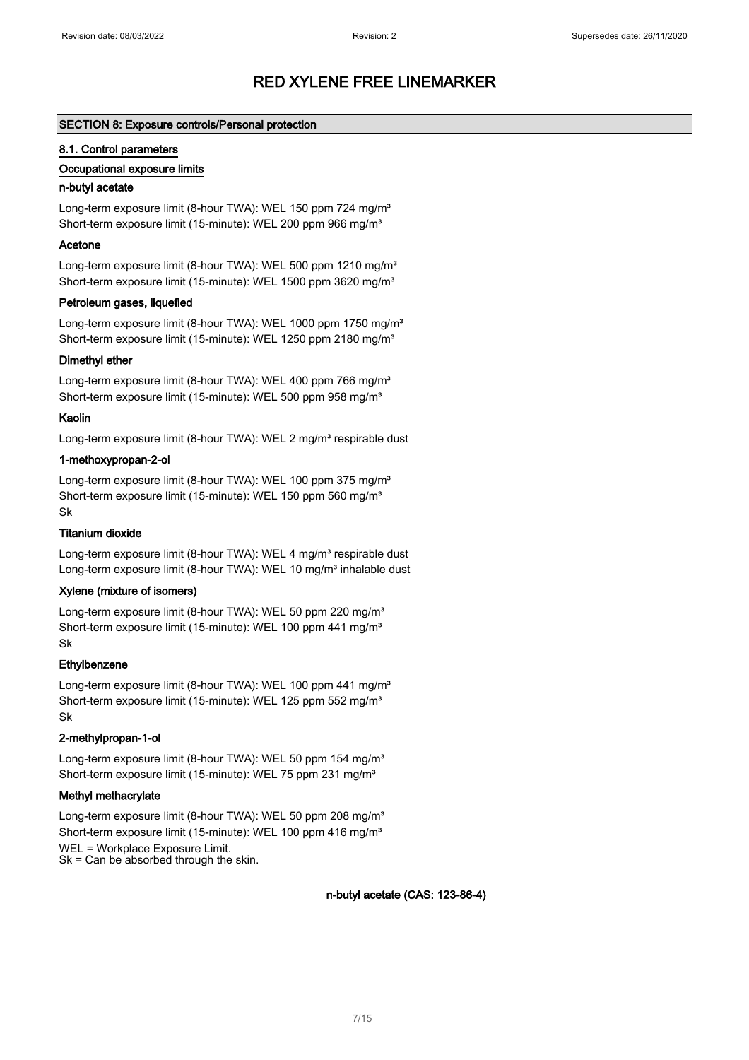#### SECTION 8: Exposure controls/Personal protection

#### 8.1. Control parameters

#### Occupational exposure limits

#### n-butyl acetate

Long-term exposure limit (8-hour TWA): WEL 150 ppm 724 mg/m<sup>3</sup> Short-term exposure limit (15-minute): WEL 200 ppm 966 mg/m<sup>3</sup>

#### Acetone

Long-term exposure limit (8-hour TWA): WEL 500 ppm 1210 mg/m<sup>3</sup> Short-term exposure limit (15-minute): WEL 1500 ppm 3620 mg/m<sup>3</sup>

#### Petroleum gases, liquefied

Long-term exposure limit (8-hour TWA): WEL 1000 ppm 1750 mg/m<sup>3</sup> Short-term exposure limit (15-minute): WEL 1250 ppm 2180 mg/m<sup>3</sup>

#### Dimethyl ether

Long-term exposure limit (8-hour TWA): WEL 400 ppm 766 mg/m<sup>3</sup> Short-term exposure limit (15-minute): WEL 500 ppm 958 mg/m<sup>3</sup>

#### Kaolin

Long-term exposure limit (8-hour TWA): WEL 2 mg/m<sup>3</sup> respirable dust

#### 1-methoxypropan-2-ol

Long-term exposure limit (8-hour TWA): WEL 100 ppm 375 mg/m<sup>3</sup> Short-term exposure limit (15-minute): WEL 150 ppm 560 mg/m<sup>3</sup> Sk

#### Titanium dioxide

Long-term exposure limit (8-hour TWA): WEL 4 mg/m<sup>3</sup> respirable dust Long-term exposure limit (8-hour TWA): WEL 10 mg/m<sup>3</sup> inhalable dust

#### Xylene (mixture of isomers)

Long-term exposure limit (8-hour TWA): WEL 50 ppm 220 mg/m<sup>3</sup> Short-term exposure limit (15-minute): WEL 100 ppm 441 mg/m<sup>3</sup> Sk

#### **Ethylbenzene**

Long-term exposure limit (8-hour TWA): WEL 100 ppm 441 mg/m<sup>3</sup> Short-term exposure limit (15-minute): WEL 125 ppm 552 mg/m<sup>3</sup> Sk

#### 2-methylpropan-1-ol

Long-term exposure limit (8-hour TWA): WEL 50 ppm 154 mg/m<sup>3</sup> Short-term exposure limit (15-minute): WEL 75 ppm 231 mg/m<sup>3</sup>

#### Methyl methacrylate

Long-term exposure limit (8-hour TWA): WEL 50 ppm 208 mg/m<sup>3</sup> Short-term exposure limit (15-minute): WEL 100 ppm 416 mg/m<sup>3</sup> WEL = Workplace Exposure Limit. Sk = Can be absorbed through the skin.

#### n-butyl acetate (CAS: 123-86-4)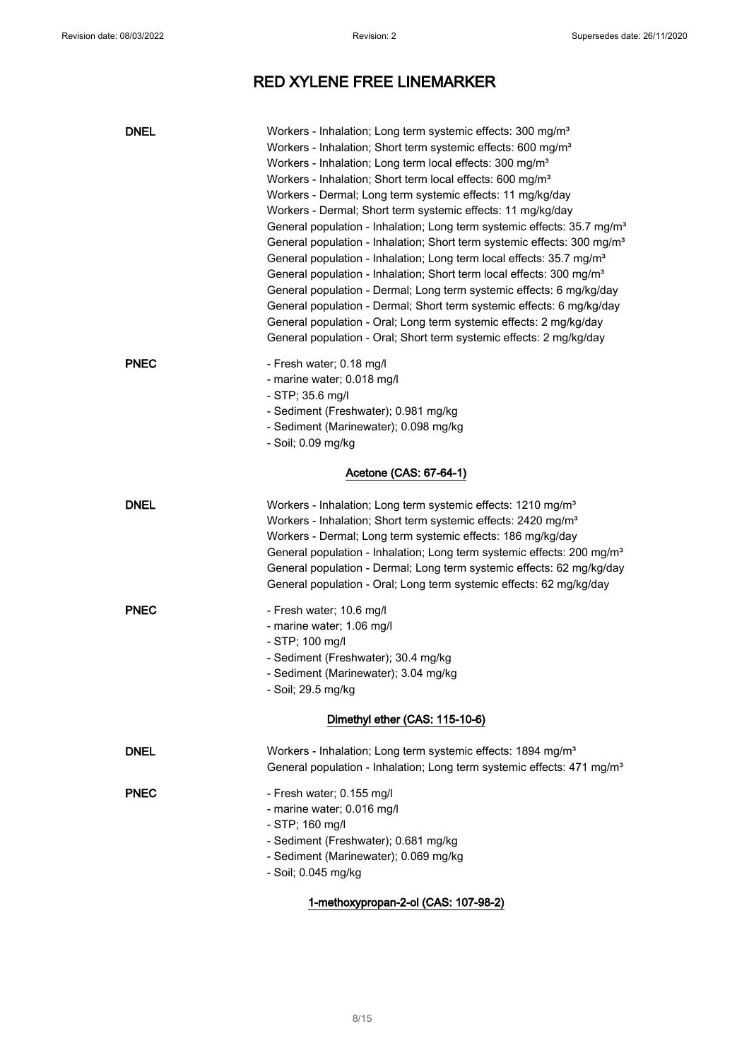| <b>DNEL</b> | Workers - Inhalation; Long term systemic effects: 300 mg/m <sup>3</sup><br>Workers - Inhalation; Short term systemic effects: 600 mg/m <sup>3</sup><br>Workers - Inhalation; Long term local effects: 300 mg/m <sup>3</sup><br>Workers - Inhalation; Short term local effects: 600 mg/m <sup>3</sup><br>Workers - Dermal; Long term systemic effects: 11 mg/kg/day<br>Workers - Dermal; Short term systemic effects: 11 mg/kg/day<br>General population - Inhalation; Long term systemic effects: 35.7 mg/m <sup>3</sup><br>General population - Inhalation; Short term systemic effects: 300 mg/m <sup>3</sup><br>General population - Inhalation; Long term local effects: 35.7 mg/m <sup>3</sup><br>General population - Inhalation; Short term local effects: 300 mg/m <sup>3</sup><br>General population - Dermal; Long term systemic effects: 6 mg/kg/day<br>General population - Dermal; Short term systemic effects: 6 mg/kg/day<br>General population - Oral; Long term systemic effects: 2 mg/kg/day<br>General population - Oral; Short term systemic effects: 2 mg/kg/day |
|-------------|---------------------------------------------------------------------------------------------------------------------------------------------------------------------------------------------------------------------------------------------------------------------------------------------------------------------------------------------------------------------------------------------------------------------------------------------------------------------------------------------------------------------------------------------------------------------------------------------------------------------------------------------------------------------------------------------------------------------------------------------------------------------------------------------------------------------------------------------------------------------------------------------------------------------------------------------------------------------------------------------------------------------------------------------------------------------------------------|
| <b>PNEC</b> | - Fresh water; 0.18 mg/l<br>- marine water; 0.018 mg/l<br>- STP; 35.6 mg/l<br>- Sediment (Freshwater); 0.981 mg/kg<br>- Sediment (Marinewater); 0.098 mg/kg<br>- Soil; 0.09 mg/kg                                                                                                                                                                                                                                                                                                                                                                                                                                                                                                                                                                                                                                                                                                                                                                                                                                                                                                     |
|             | Acetone (CAS: 67-64-1)                                                                                                                                                                                                                                                                                                                                                                                                                                                                                                                                                                                                                                                                                                                                                                                                                                                                                                                                                                                                                                                                |
| <b>DNEL</b> | Workers - Inhalation; Long term systemic effects: 1210 mg/m <sup>3</sup><br>Workers - Inhalation; Short term systemic effects: 2420 mg/m <sup>3</sup><br>Workers - Dermal; Long term systemic effects: 186 mg/kg/day<br>General population - Inhalation; Long term systemic effects: 200 mg/m <sup>3</sup><br>General population - Dermal; Long term systemic effects: 62 mg/kg/day<br>General population - Oral; Long term systemic effects: 62 mg/kg/day                                                                                                                                                                                                                                                                                                                                                                                                                                                                                                                                                                                                                            |
| <b>PNEC</b> | - Fresh water; 10.6 mg/l<br>- marine water; 1.06 mg/l<br>- STP; 100 mg/l<br>- Sediment (Freshwater); 30.4 mg/kg<br>- Sediment (Marinewater); 3.04 mg/kg<br>- Soil; 29.5 mg/kg                                                                                                                                                                                                                                                                                                                                                                                                                                                                                                                                                                                                                                                                                                                                                                                                                                                                                                         |
|             | Dimethyl ether (CAS: 115-10-6)                                                                                                                                                                                                                                                                                                                                                                                                                                                                                                                                                                                                                                                                                                                                                                                                                                                                                                                                                                                                                                                        |
| <b>DNEL</b> | Workers - Inhalation; Long term systemic effects: 1894 mg/m <sup>3</sup><br>General population - Inhalation; Long term systemic effects: 471 mg/m <sup>3</sup>                                                                                                                                                                                                                                                                                                                                                                                                                                                                                                                                                                                                                                                                                                                                                                                                                                                                                                                        |
| <b>PNEC</b> | - Fresh water; 0.155 mg/l<br>- marine water; 0.016 mg/l<br>- STP; 160 mg/l<br>- Sediment (Freshwater); 0.681 mg/kg<br>- Sediment (Marinewater); 0.069 mg/kg<br>- Soil; 0.045 mg/kg                                                                                                                                                                                                                                                                                                                                                                                                                                                                                                                                                                                                                                                                                                                                                                                                                                                                                                    |

### 1-methoxypropan-2-ol (CAS: 107-98-2)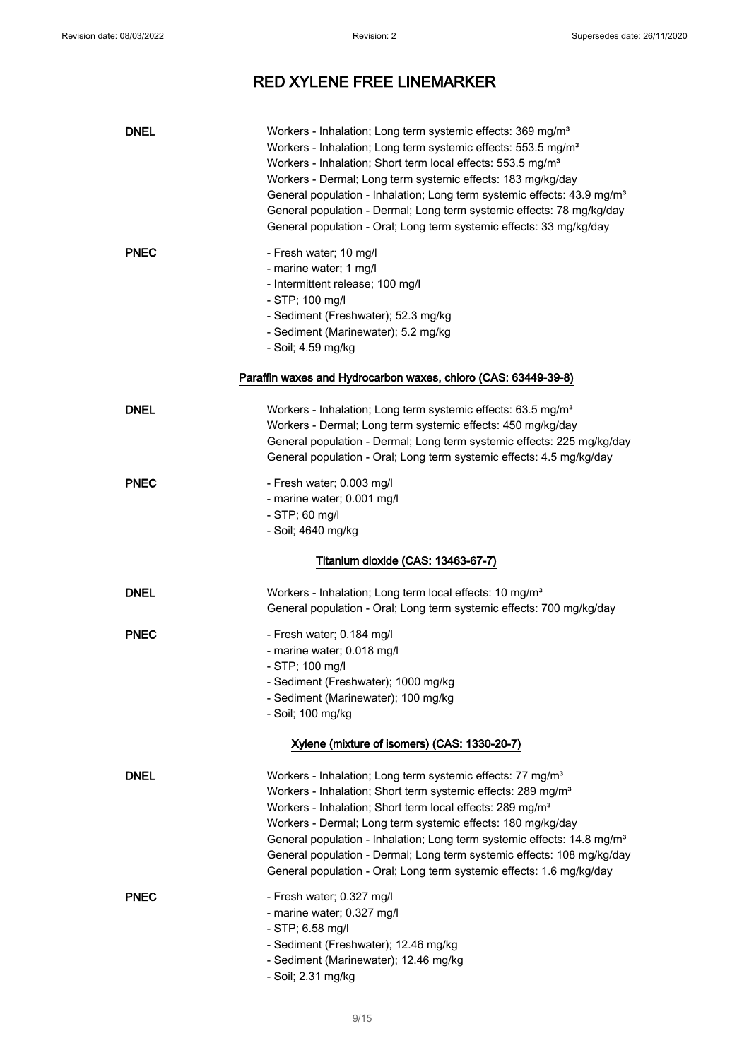| <b>DNEL</b> | Workers - Inhalation; Long term systemic effects: 369 mg/m <sup>3</sup><br>Workers - Inhalation; Long term systemic effects: 553.5 mg/m <sup>3</sup><br>Workers - Inhalation; Short term local effects: 553.5 mg/m <sup>3</sup><br>Workers - Dermal; Long term systemic effects: 183 mg/kg/day<br>General population - Inhalation; Long term systemic effects: 43.9 mg/m <sup>3</sup><br>General population - Dermal; Long term systemic effects: 78 mg/kg/day<br>General population - Oral; Long term systemic effects: 33 mg/kg/day |
|-------------|---------------------------------------------------------------------------------------------------------------------------------------------------------------------------------------------------------------------------------------------------------------------------------------------------------------------------------------------------------------------------------------------------------------------------------------------------------------------------------------------------------------------------------------|
| <b>PNEC</b> | - Fresh water; 10 mg/l<br>- marine water; 1 mg/l<br>- Intermittent release; 100 mg/l<br>- STP; 100 mg/l<br>- Sediment (Freshwater); 52.3 mg/kg<br>- Sediment (Marinewater); 5.2 mg/kg<br>- Soil; 4.59 mg/kg<br>Paraffin waxes and Hydrocarbon waxes, chloro (CAS: 63449-39-8)                                                                                                                                                                                                                                                         |
|             |                                                                                                                                                                                                                                                                                                                                                                                                                                                                                                                                       |
| <b>DNEL</b> | Workers - Inhalation; Long term systemic effects: 63.5 mg/m <sup>3</sup><br>Workers - Dermal; Long term systemic effects: 450 mg/kg/day<br>General population - Dermal; Long term systemic effects: 225 mg/kg/day<br>General population - Oral; Long term systemic effects: 4.5 mg/kg/day                                                                                                                                                                                                                                             |
| <b>PNEC</b> | - Fresh water; 0.003 mg/l<br>- marine water; 0.001 mg/l<br>- STP; 60 mg/l<br>- Soil; 4640 mg/kg                                                                                                                                                                                                                                                                                                                                                                                                                                       |
|             | Titanium dioxide (CAS: 13463-67-7)                                                                                                                                                                                                                                                                                                                                                                                                                                                                                                    |
| <b>DNEL</b> | Workers - Inhalation; Long term local effects: 10 mg/m <sup>3</sup><br>General population - Oral; Long term systemic effects: 700 mg/kg/day                                                                                                                                                                                                                                                                                                                                                                                           |
| <b>PNEC</b> | - Fresh water; 0.184 mg/l<br>- marine water; 0.018 mg/l<br>- STP; 100 mg/l<br>- Sediment (Freshwater); 1000 mg/kg<br>- Sediment (Marinewater); 100 mg/kg<br>- Soil; 100 mg/kg                                                                                                                                                                                                                                                                                                                                                         |
|             | Xylene (mixture of isomers) (CAS: 1330-20-7)                                                                                                                                                                                                                                                                                                                                                                                                                                                                                          |
| <b>DNEL</b> | Workers - Inhalation; Long term systemic effects: 77 mg/m <sup>3</sup><br>Workers - Inhalation; Short term systemic effects: 289 mg/m <sup>3</sup><br>Workers - Inhalation; Short term local effects: 289 mg/m <sup>3</sup><br>Workers - Dermal; Long term systemic effects: 180 mg/kg/day<br>General population - Inhalation; Long term systemic effects: 14.8 mg/m <sup>3</sup><br>General population - Dermal; Long term systemic effects: 108 mg/kg/day<br>General population - Oral; Long term systemic effects: 1.6 mg/kg/day   |
| <b>PNEC</b> | - Fresh water; 0.327 mg/l<br>- marine water; 0.327 mg/l<br>$-$ STP; 6.58 mg/l<br>- Sediment (Freshwater); 12.46 mg/kg<br>- Sediment (Marinewater); 12.46 mg/kg<br>- Soil; 2.31 mg/kg                                                                                                                                                                                                                                                                                                                                                  |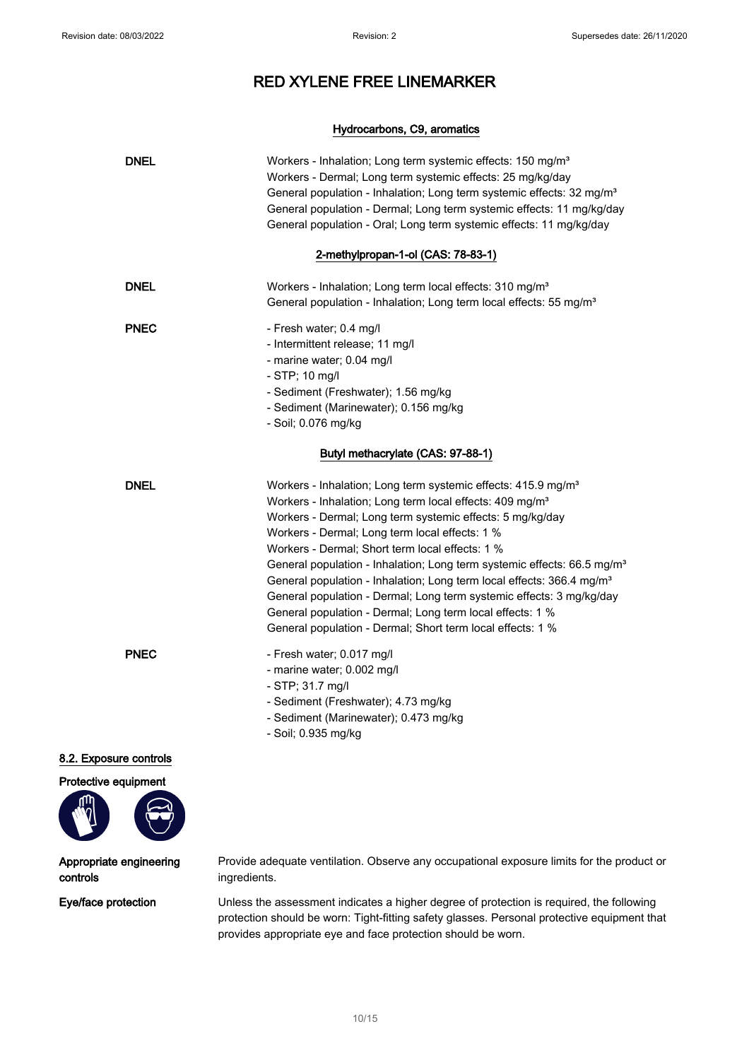#### Hydrocarbons, C9, aromatics

| <b>DNEL</b>  | Workers - Inhalation; Long term systemic effects: 150 mg/m <sup>3</sup><br>Workers - Dermal; Long term systemic effects: 25 mg/kg/day<br>General population - Inhalation; Long term systemic effects: 32 mg/m <sup>3</sup><br>General population - Dermal; Long term systemic effects: 11 mg/kg/day<br>General population - Oral; Long term systemic effects: 11 mg/kg/day                                                                                                                                                                                                                                                                                                                         |
|--------------|----------------------------------------------------------------------------------------------------------------------------------------------------------------------------------------------------------------------------------------------------------------------------------------------------------------------------------------------------------------------------------------------------------------------------------------------------------------------------------------------------------------------------------------------------------------------------------------------------------------------------------------------------------------------------------------------------|
|              | 2-methylpropan-1-ol (CAS: 78-83-1)                                                                                                                                                                                                                                                                                                                                                                                                                                                                                                                                                                                                                                                                 |
| <b>DNEL</b>  | Workers - Inhalation; Long term local effects: 310 mg/m <sup>3</sup><br>General population - Inhalation; Long term local effects: 55 mg/m <sup>3</sup>                                                                                                                                                                                                                                                                                                                                                                                                                                                                                                                                             |
| <b>PNEC</b>  | - Fresh water; 0.4 mg/l<br>- Intermittent release; 11 mg/l<br>- marine water; 0.04 mg/l<br>- STP; 10 mg/l<br>- Sediment (Freshwater); 1.56 mg/kg<br>- Sediment (Marinewater); 0.156 mg/kg<br>- Soil; 0.076 mg/kg                                                                                                                                                                                                                                                                                                                                                                                                                                                                                   |
|              | Butyl methacrylate (CAS: 97-88-1)                                                                                                                                                                                                                                                                                                                                                                                                                                                                                                                                                                                                                                                                  |
| <b>DNEL</b>  | Workers - Inhalation; Long term systemic effects: 415.9 mg/m <sup>3</sup><br>Workers - Inhalation; Long term local effects: 409 mg/m <sup>3</sup><br>Workers - Dermal; Long term systemic effects: 5 mg/kg/day<br>Workers - Dermal; Long term local effects: 1 %<br>Workers - Dermal; Short term local effects: 1 %<br>General population - Inhalation; Long term systemic effects: 66.5 mg/m <sup>3</sup><br>General population - Inhalation; Long term local effects: 366.4 mg/m <sup>3</sup><br>General population - Dermal; Long term systemic effects: 3 mg/kg/day<br>General population - Dermal; Long term local effects: 1 %<br>General population - Dermal; Short term local effects: 1 % |
| <b>PNEC</b>  | - Fresh water; 0.017 mg/l<br>- marine water; 0.002 mg/l<br>- STP; 31.7 mg/l<br>- Sediment (Freshwater); 4.73 mg/kg<br>- Sediment (Marinewater); 0.473 mg/kg<br>- Soil; 0.935 mg/kg                                                                                                                                                                                                                                                                                                                                                                                                                                                                                                                 |
| ire controls |                                                                                                                                                                                                                                                                                                                                                                                                                                                                                                                                                                                                                                                                                                    |

# 8.2. Exposure controls

Protective equipment



#### Appropriate engineering controls

Provide adequate ventilation. Observe any occupational exposure limits for the product or ingredients.

Eye/face protection Unless the assessment indicates a higher degree of protection is required, the following protection should be worn: Tight-fitting safety glasses. Personal protective equipment that provides appropriate eye and face protection should be worn.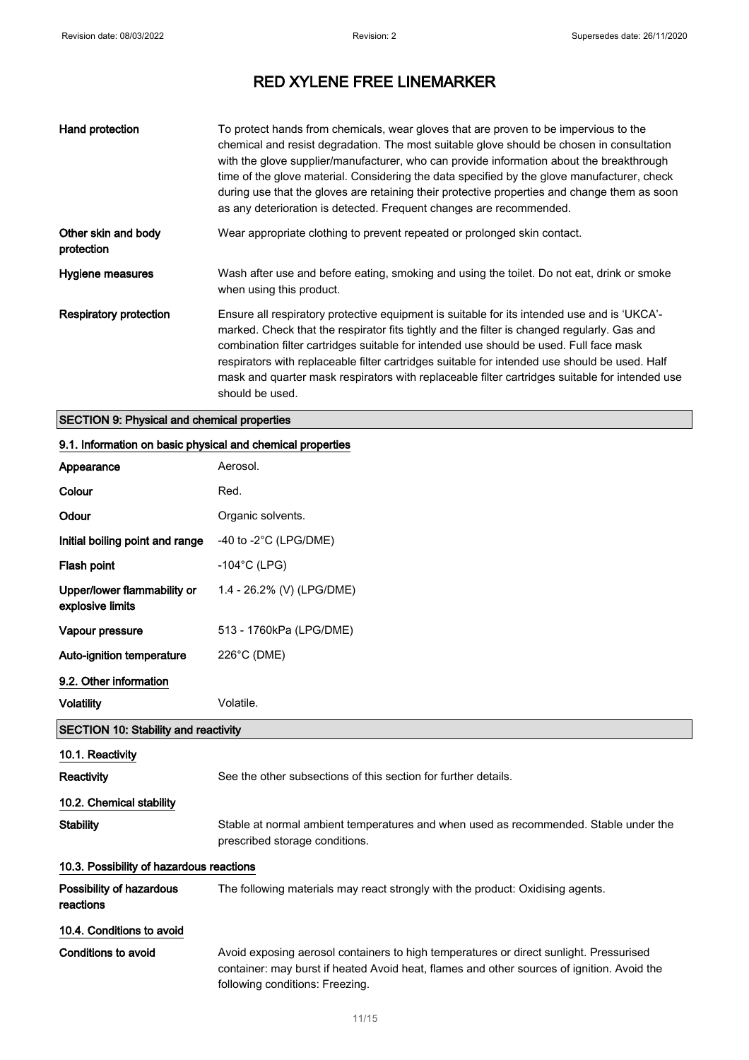| Hand protection                   | To protect hands from chemicals, wear gloves that are proven to be impervious to the<br>chemical and resist degradation. The most suitable glove should be chosen in consultation<br>with the glove supplier/manufacturer, who can provide information about the breakthrough<br>time of the glove material. Considering the data specified by the glove manufacturer, check<br>during use that the gloves are retaining their protective properties and change them as soon<br>as any deterioration is detected. Frequent changes are recommended. |
|-----------------------------------|-----------------------------------------------------------------------------------------------------------------------------------------------------------------------------------------------------------------------------------------------------------------------------------------------------------------------------------------------------------------------------------------------------------------------------------------------------------------------------------------------------------------------------------------------------|
| Other skin and body<br>protection | Wear appropriate clothing to prevent repeated or prolonged skin contact.                                                                                                                                                                                                                                                                                                                                                                                                                                                                            |
| Hygiene measures                  | Wash after use and before eating, smoking and using the toilet. Do not eat, drink or smoke<br>when using this product.                                                                                                                                                                                                                                                                                                                                                                                                                              |
| <b>Respiratory protection</b>     | Ensure all respiratory protective equipment is suitable for its intended use and is 'UKCA'-<br>marked. Check that the respirator fits tightly and the filter is changed regularly. Gas and<br>combination filter cartridges suitable for intended use should be used. Full face mask<br>respirators with replaceable filter cartridges suitable for intended use should be used. Half<br>mask and quarter mask respirators with replaceable filter cartridges suitable for intended use<br>should be used.                                          |

### SECTION 9: Physical and chemical properties

### 9.1. Information on basic physical and chemical properties

| Appearance                                      | Aerosol.                                                                                                                                                                                                                |  |
|-------------------------------------------------|-------------------------------------------------------------------------------------------------------------------------------------------------------------------------------------------------------------------------|--|
| Colour                                          | Red.                                                                                                                                                                                                                    |  |
| Odour                                           | Organic solvents.                                                                                                                                                                                                       |  |
| Initial boiling point and range                 | -40 to -2 $^{\circ}$ C (LPG/DME)                                                                                                                                                                                        |  |
| Flash point                                     | $-104$ °C (LPG)                                                                                                                                                                                                         |  |
| Upper/lower flammability or<br>explosive limits | 1.4 - 26.2% (V) (LPG/DME)                                                                                                                                                                                               |  |
| Vapour pressure                                 | 513 - 1760kPa (LPG/DME)                                                                                                                                                                                                 |  |
| <b>Auto-ignition temperature</b>                | 226°C (DME)                                                                                                                                                                                                             |  |
| 9.2. Other information                          |                                                                                                                                                                                                                         |  |
| <b>Volatility</b>                               | Volatile.                                                                                                                                                                                                               |  |
| <b>SECTION 10: Stability and reactivity</b>     |                                                                                                                                                                                                                         |  |
| 10.1. Reactivity                                |                                                                                                                                                                                                                         |  |
| Reactivity                                      | See the other subsections of this section for further details.                                                                                                                                                          |  |
| 10.2. Chemical stability                        |                                                                                                                                                                                                                         |  |
| <b>Stability</b>                                | Stable at normal ambient temperatures and when used as recommended. Stable under the<br>prescribed storage conditions.                                                                                                  |  |
| 10.3. Possibility of hazardous reactions        |                                                                                                                                                                                                                         |  |
| Possibility of hazardous<br>reactions           | The following materials may react strongly with the product: Oxidising agents.                                                                                                                                          |  |
| 10.4. Conditions to avoid                       |                                                                                                                                                                                                                         |  |
| Conditions to avoid                             | Avoid exposing aerosol containers to high temperatures or direct sunlight. Pressurised<br>container: may burst if heated Avoid heat, flames and other sources of ignition. Avoid the<br>following conditions: Freezing. |  |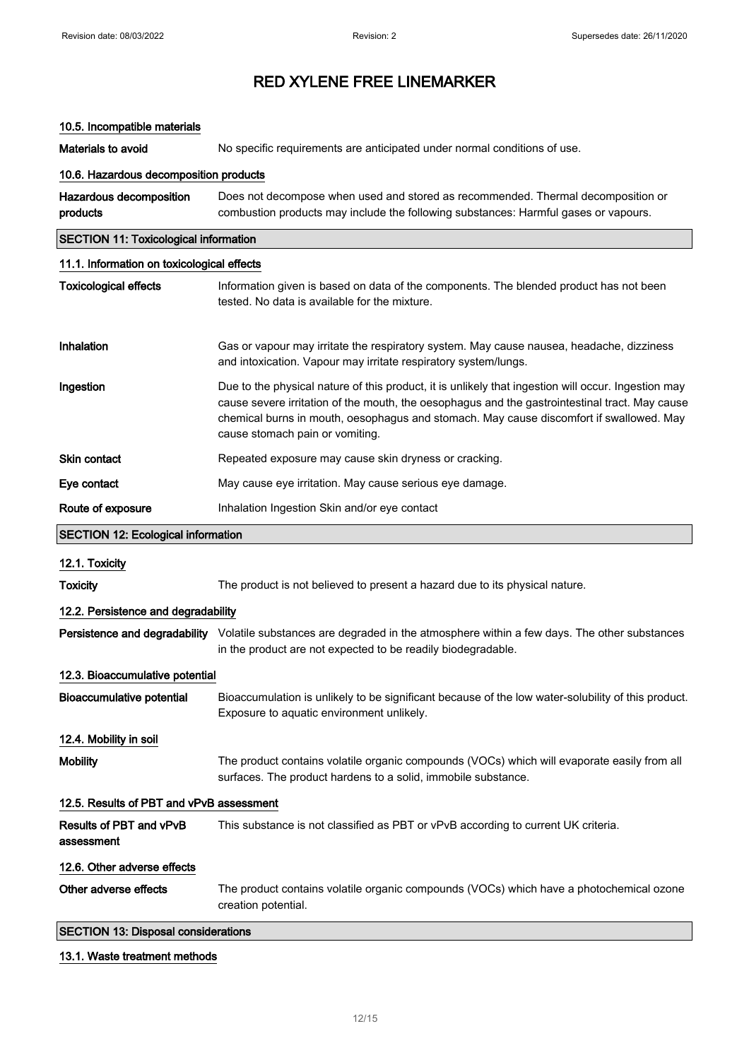### 10.5. Incompatible materials

Materials to avoid Mo specific requirements are anticipated under normal conditions of use.

## 10.6. Hazardous decomposition products

| Hazardous decomposition                      | Does not decompose when used and stored as recommended. Thermal decomposition or                                                                                                                                                                                                                                                    |  |
|----------------------------------------------|-------------------------------------------------------------------------------------------------------------------------------------------------------------------------------------------------------------------------------------------------------------------------------------------------------------------------------------|--|
| products                                     | combustion products may include the following substances: Harmful gases or vapours.                                                                                                                                                                                                                                                 |  |
| <b>SECTION 11: Toxicological information</b> |                                                                                                                                                                                                                                                                                                                                     |  |
| 11.1. Information on toxicological effects   |                                                                                                                                                                                                                                                                                                                                     |  |
| <b>Toxicological effects</b>                 | Information given is based on data of the components. The blended product has not been<br>tested. No data is available for the mixture.                                                                                                                                                                                             |  |
| Inhalation                                   | Gas or vapour may irritate the respiratory system. May cause nausea, headache, dizziness<br>and intoxication. Vapour may irritate respiratory system/lungs.                                                                                                                                                                         |  |
| Ingestion                                    | Due to the physical nature of this product, it is unlikely that ingestion will occur. Ingestion may<br>cause severe irritation of the mouth, the oesophagus and the gastrointestinal tract. May cause<br>chemical burns in mouth, oesophagus and stomach. May cause discomfort if swallowed. May<br>cause stomach pain or vomiting. |  |
| <b>Skin contact</b>                          | Repeated exposure may cause skin dryness or cracking.                                                                                                                                                                                                                                                                               |  |
| Eye contact                                  | May cause eye irritation. May cause serious eye damage.                                                                                                                                                                                                                                                                             |  |
| Route of exposure                            | Inhalation Ingestion Skin and/or eye contact                                                                                                                                                                                                                                                                                        |  |
|                                              | <b>SECTION 12: Ecological information</b>                                                                                                                                                                                                                                                                                           |  |
| 12.1. Toxicity                               |                                                                                                                                                                                                                                                                                                                                     |  |
| <b>Toxicity</b>                              | The product is not believed to present a hazard due to its physical nature.                                                                                                                                                                                                                                                         |  |
| 12.2. Persistence and degradability          |                                                                                                                                                                                                                                                                                                                                     |  |
|                                              | Persistence and degradability Volatile substances are degraded in the atmosphere within a few days. The other substances<br>in the product are not expected to be readily biodegradable.                                                                                                                                            |  |
| 12.3. Bioaccumulative potential              |                                                                                                                                                                                                                                                                                                                                     |  |
| <b>Bioaccumulative potential</b>             | Bioaccumulation is unlikely to be significant because of the low water-solubility of this product.<br>Exposure to aquatic environment unlikely.                                                                                                                                                                                     |  |
| 12.4. Mobility in soil                       |                                                                                                                                                                                                                                                                                                                                     |  |
| <b>Mobility</b>                              | The product contains volatile organic compounds (VOCs) which will evaporate easily from all<br>surfaces. The product hardens to a solid, immobile substance.                                                                                                                                                                        |  |
| 12.5. Results of PBT and vPvB assessment     |                                                                                                                                                                                                                                                                                                                                     |  |
| Results of PBT and vPvB<br>assessment        | This substance is not classified as PBT or vPvB according to current UK criteria.                                                                                                                                                                                                                                                   |  |
| 12.6. Other adverse effects                  |                                                                                                                                                                                                                                                                                                                                     |  |
| Other adverse effects                        | The product contains volatile organic compounds (VOCs) which have a photochemical ozone<br>creation potential.                                                                                                                                                                                                                      |  |
| <b>SECTION 13: Disposal considerations</b>   |                                                                                                                                                                                                                                                                                                                                     |  |

#### 13.1. Waste treatment methods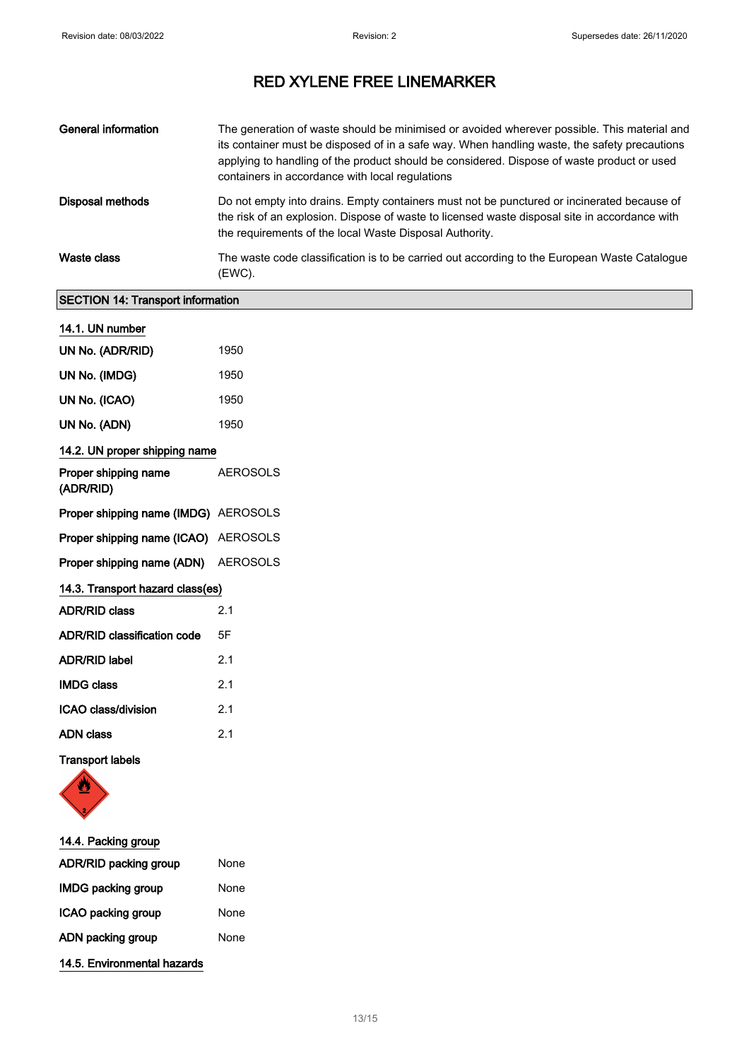| General information | The generation of waste should be minimised or avoided wherever possible. This material and<br>its container must be disposed of in a safe way. When handling waste, the safety precautions<br>applying to handling of the product should be considered. Dispose of waste product or used<br>containers in accordance with local regulations |
|---------------------|----------------------------------------------------------------------------------------------------------------------------------------------------------------------------------------------------------------------------------------------------------------------------------------------------------------------------------------------|
| Disposal methods    | Do not empty into drains. Empty containers must not be punctured or incinerated because of<br>the risk of an explosion. Dispose of waste to licensed waste disposal site in accordance with<br>the requirements of the local Waste Disposal Authority.                                                                                       |
| Waste class         | The waste code classification is to be carried out according to the European Waste Catalogue<br>(EWC).                                                                                                                                                                                                                                       |

## SECTION 14: Transport information

| 14.1. UN number                             |                 |
|---------------------------------------------|-----------------|
| UN No. (ADR/RID)                            | 1950            |
| UN No. (IMDG)                               | 1950            |
| UN No. (ICAO)                               | 1950            |
| UN No. (ADN)                                | 1950            |
| 14.2. UN proper shipping name               |                 |
| Proper shipping name<br>(ADR/RID)           | <b>AEROSOLS</b> |
| <b>Proper shipping name (IMDG)</b> AEROSOLS |                 |
| Proper shipping name (ICAO) AEROSOLS        |                 |
| Proper shipping name (ADN) AEROSOLS         |                 |
| 14.3. Transport hazard class(es)            |                 |
| <b>ADR/RID class</b>                        | 2.1             |
| <b>ADR/RID classification code</b>          | 5F              |
| <b>ADR/RID label</b>                        | 2.1             |
| <b>IMDG class</b>                           | 2.1             |
| ICAO class/division                         | 2.1             |
| <b>ADN class</b>                            | 2.1             |
|                                             |                 |

### Transport labels



| 14.4. Packing group         |      |
|-----------------------------|------|
| ADR/RID packing group       | None |
| <b>IMDG packing group</b>   | None |
| ICAO packing group          | None |
| ADN packing group           | None |
| 14.5. Environmental hazards |      |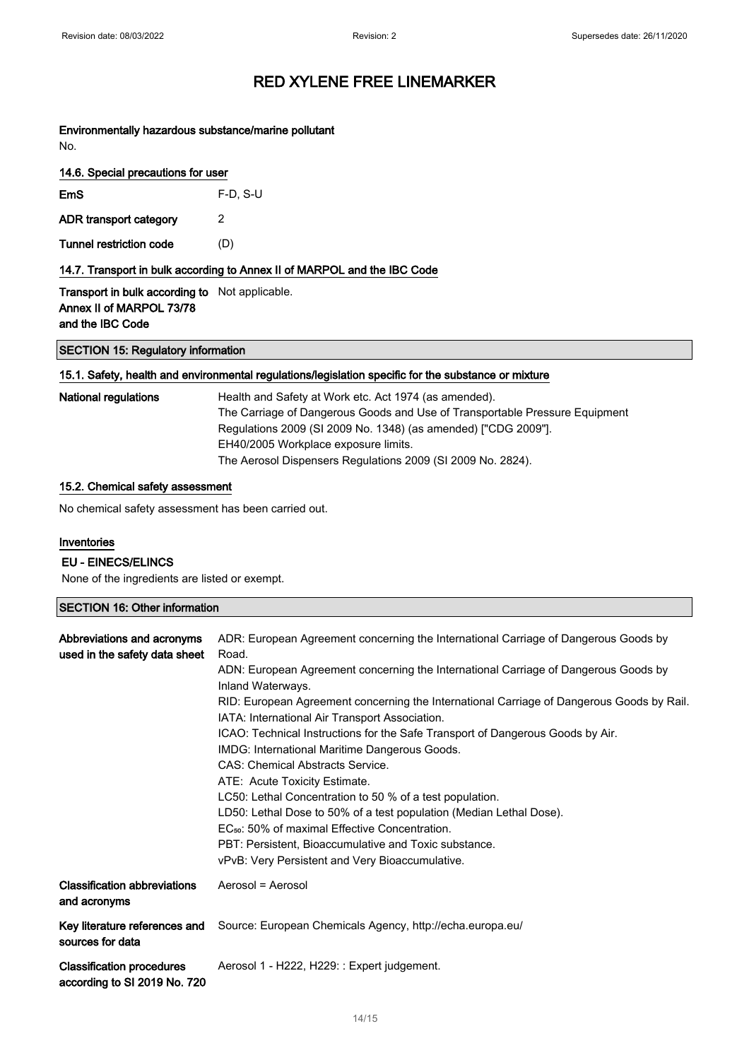Environmentally hazardous substance/marine pollutant No.

|  | 14.6. Special precautions for user |  |
|--|------------------------------------|--|
|  |                                    |  |

| EmS                    | $F-D$ , S-U |  |
|------------------------|-------------|--|
| ADR transport category |             |  |

Tunnel restriction code (D)

14.7. Transport in bulk according to Annex II of MARPOL and the IBC Code

Transport in bulk according to Not applicable. Annex II of MARPOL 73/78 and the IBC Code

SECTION 15: Regulatory information

#### 15.1. Safety, health and environmental regulations/legislation specific for the substance or mixture

| National regulations | Health and Safety at Work etc. Act 1974 (as amended).<br>The Carriage of Dangerous Goods and Use of Transportable Pressure Equipment<br>Regulations 2009 (SI 2009 No. 1348) (as amended) ["CDG 2009"]. |
|----------------------|--------------------------------------------------------------------------------------------------------------------------------------------------------------------------------------------------------|
|                      | EH40/2005 Workplace exposure limits.                                                                                                                                                                   |
|                      | The Aerosol Dispensers Regulations 2009 (SI 2009 No. 2824).                                                                                                                                            |

#### 15.2. Chemical safety assessment

No chemical safety assessment has been carried out.

#### Inventories

#### EU - EINECS/ELINCS

None of the ingredients are listed or exempt.

#### SECTION 16: Other information

| Abbreviations and acronyms<br>used in the safety data sheet      | ADR: European Agreement concerning the International Carriage of Dangerous Goods by<br>Road.<br>ADN: European Agreement concerning the International Carriage of Dangerous Goods by<br>Inland Waterways.<br>RID: European Agreement concerning the International Carriage of Dangerous Goods by Rail.<br>IATA: International Air Transport Association.<br>ICAO: Technical Instructions for the Safe Transport of Dangerous Goods by Air.<br>IMDG: International Maritime Dangerous Goods.<br><b>CAS: Chemical Abstracts Service.</b><br>ATE: Acute Toxicity Estimate.<br>LC50: Lethal Concentration to 50 % of a test population.<br>LD50: Lethal Dose to 50% of a test population (Median Lethal Dose).<br>EC <sub>50</sub> : 50% of maximal Effective Concentration.<br>PBT: Persistent, Bioaccumulative and Toxic substance.<br>vPvB: Very Persistent and Very Bioaccumulative. |
|------------------------------------------------------------------|-------------------------------------------------------------------------------------------------------------------------------------------------------------------------------------------------------------------------------------------------------------------------------------------------------------------------------------------------------------------------------------------------------------------------------------------------------------------------------------------------------------------------------------------------------------------------------------------------------------------------------------------------------------------------------------------------------------------------------------------------------------------------------------------------------------------------------------------------------------------------------------|
| <b>Classification abbreviations</b><br>and acronyms              | Aerosol = Aerosol                                                                                                                                                                                                                                                                                                                                                                                                                                                                                                                                                                                                                                                                                                                                                                                                                                                                   |
| Key literature references and<br>sources for data                | Source: European Chemicals Agency, http://echa.europa.eu/                                                                                                                                                                                                                                                                                                                                                                                                                                                                                                                                                                                                                                                                                                                                                                                                                           |
| <b>Classification procedures</b><br>according to SI 2019 No. 720 | Aerosol 1 - H222, H229: : Expert judgement.                                                                                                                                                                                                                                                                                                                                                                                                                                                                                                                                                                                                                                                                                                                                                                                                                                         |